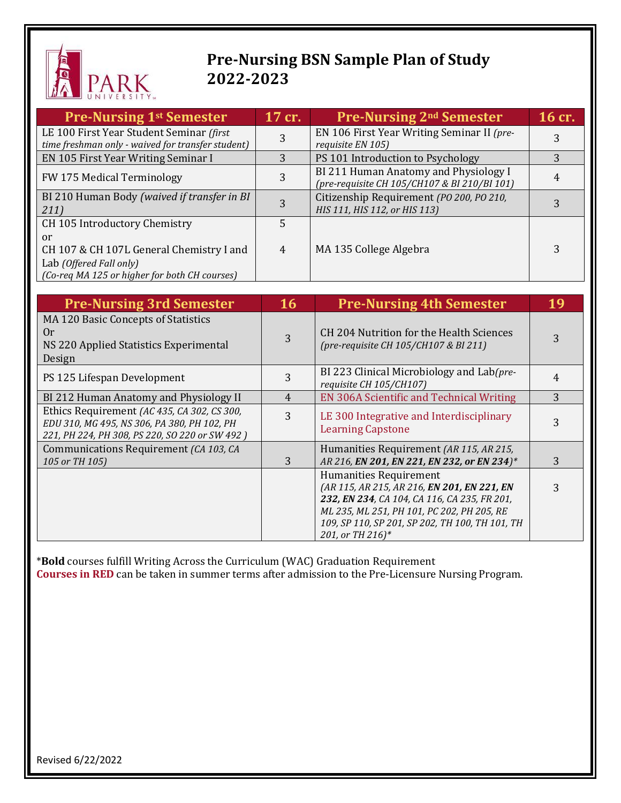

## **Pre-Nursing BSN Sample Plan of Study 2022-2023**

| <b>Pre-Nursing 1st Semester</b>                                                               | 17 cr. | <b>Pre-Nursing 2<sup>nd</sup> Semester</b>                                            | 16 cr. |
|-----------------------------------------------------------------------------------------------|--------|---------------------------------------------------------------------------------------|--------|
| LE 100 First Year Student Seminar (first<br>time freshman only - waived for transfer student) | 3      | EN 106 First Year Writing Seminar II (pre-                                            | 3      |
| EN 105 First Year Writing Seminar I                                                           | 3      | requisite EN 105)<br>PS 101 Introduction to Psychology                                | 3      |
|                                                                                               |        |                                                                                       |        |
| FW 175 Medical Terminology                                                                    |        | BI 211 Human Anatomy and Physiology I<br>(pre-requisite CH 105/CH107 & BI 210/BI 101) |        |
| BI 210 Human Body (waived if transfer in BI                                                   | 3      | Citizenship Requirement (PO 200, PO 210,                                              |        |
| 211)                                                                                          |        | HIS 111, HIS 112, or HIS 113)                                                         |        |
| CH 105 Introductory Chemistry                                                                 | 5      |                                                                                       |        |
| or                                                                                            |        |                                                                                       |        |
| CH 107 & CH 107L General Chemistry I and                                                      | 4      | MA 135 College Algebra                                                                |        |
| Lab (Offered Fall only)                                                                       |        |                                                                                       |        |
| (Co-req MA 125 or higher for both CH courses)                                                 |        |                                                                                       |        |

| <b>Pre-Nursing 3rd Semester</b>                                                                                                              | <b>16</b> | <b>Pre-Nursing 4th Semester</b>                                                                                                                                                                                                            |   |
|----------------------------------------------------------------------------------------------------------------------------------------------|-----------|--------------------------------------------------------------------------------------------------------------------------------------------------------------------------------------------------------------------------------------------|---|
| MA 120 Basic Concepts of Statistics<br>0r<br>NS 220 Applied Statistics Experimental<br>Design                                                | 3         | CH 204 Nutrition for the Health Sciences<br>(pre-requisite CH 105/CH107 & BI 211)                                                                                                                                                          |   |
| PS 125 Lifespan Development                                                                                                                  | 3         | BI 223 Clinical Microbiology and Lab(pre-<br>requisite CH 105/CH107)                                                                                                                                                                       |   |
| BI 212 Human Anatomy and Physiology II                                                                                                       | 4         | EN 306A Scientific and Technical Writing                                                                                                                                                                                                   | 3 |
| Ethics Requirement (AC 435, CA 302, CS 300,<br>EDU 310, MG 495, NS 306, PA 380, PH 102, PH<br>221, PH 224, PH 308, PS 220, SO 220 or SW 492) | 3         | LE 300 Integrative and Interdisciplinary<br><b>Learning Capstone</b>                                                                                                                                                                       |   |
| Communications Requirement (CA 103, CA<br>105 or TH 105)                                                                                     | 3         | Humanities Requirement (AR 115, AR 215,<br>AR 216, EN 201, EN 221, EN 232, or EN 234)*                                                                                                                                                     | 3 |
|                                                                                                                                              |           | Humanities Requirement<br>(AR 115, AR 215, AR 216, EN 201, EN 221, EN<br>232, EN 234, CA 104, CA 116, CA 235, FR 201,<br>ML 235, ML 251, PH 101, PC 202, PH 205, RE<br>109, SP 110, SP 201, SP 202, TH 100, TH 101, TH<br>201, or TH 216)* |   |

\***Bold** courses fulfill Writing Across the Curriculum (WAC) Graduation Requirement **Courses in RED** can be taken in summer terms after admission to the Pre-Licensure Nursing Program.

Revised 6/22/2022